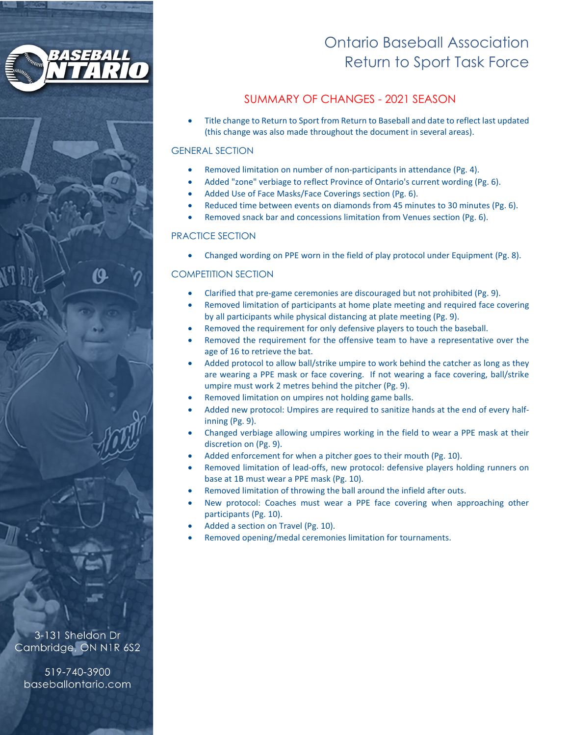

# Ontario Baseball Association Return to Sport Task Force

# SUMMARY OF CHANGES - 2021 SEASON

• Title change to Return to Sport from Return to Baseball and date to reflect last updated (this change was also made throughout the document in several areas).

#### GENERAL SECTION

- Removed limitation on number of non-participants in attendance (Pg. 4).
- Added "zone" verbiage to reflect Province of Ontario's current wording (Pg. 6).
- Added Use of Face Masks/Face Coverings section (Pg. 6).
- Reduced time between events on diamonds from 45 minutes to 30 minutes (Pg. 6).
- Removed snack bar and concessions limitation from Venues section (Pg. 6).

#### PRACTICE SECTION

• Changed wording on PPE worn in the field of play protocol under Equipment (Pg. 8).

#### COMPETITION SECTION

- Clarified that pre-game ceremonies are discouraged but not prohibited (Pg. 9).
- Removed limitation of participants at home plate meeting and required face covering by all participants while physical distancing at plate meeting (Pg. 9).
- Removed the requirement for only defensive players to touch the baseball.
- Removed the requirement for the offensive team to have a representative over the age of 16 to retrieve the bat.
- Added protocol to allow ball/strike umpire to work behind the catcher as long as they are wearing a PPE mask or face covering. If not wearing a face covering, ball/strike umpire must work 2 metres behind the pitcher (Pg. 9).
- Removed limitation on umpires not holding game balls.
- Added new protocol: Umpires are required to sanitize hands at the end of every halfinning (Pg. 9).
- Changed verbiage allowing umpires working in the field to wear a PPE mask at their discretion on (Pg. 9).
- Added enforcement for when a pitcher goes to their mouth (Pg. 10).
- Removed limitation of lead-offs, new protocol: defensive players holding runners on base at 1B must wear a PPE mask (Pg. 10).
- Removed limitation of throwing the ball around the infield after outs.
- New protocol: Coaches must wear a PPE face covering when approaching other participants (Pg. 10).
- Added a section on Travel (Pg. 10).
- Removed opening/medal ceremonies limitation for tournaments.

3-131 Sheldon Dr Cambridge, ON N1R 6S2

519-740-3900 baseballontario.com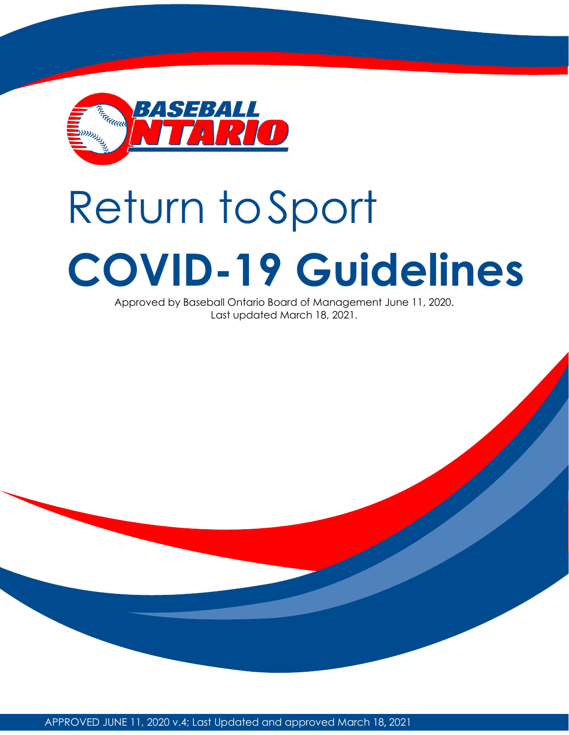

# Return toSport **COVID-19 Guidelines**

Approved by Baseball Ontario Board of Management June 11, 2020. Last updated March 18, 2021.

APPROVED JUNE 11, 2020 v.4; Last Updated and approved March 18, 2021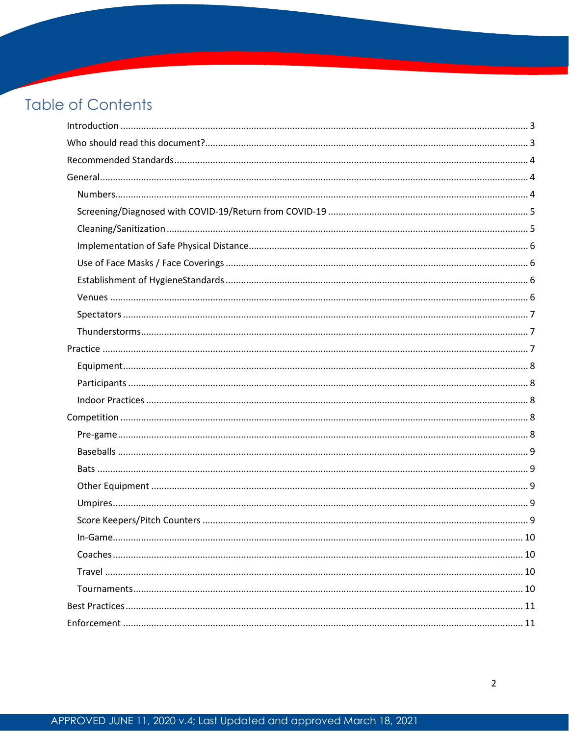# **Table of Contents**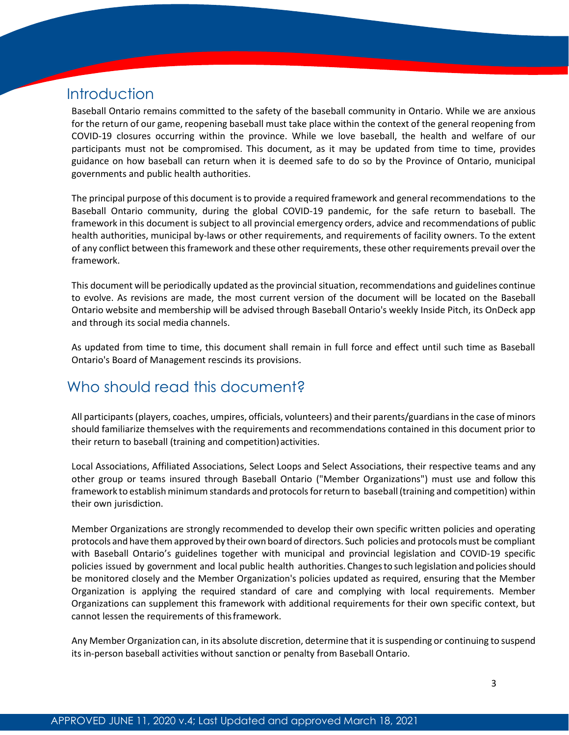# <span id="page-3-0"></span>**Introduction**

Baseball Ontario remains committed to the safety of the baseball community in Ontario. While we are anxious for the return of our game, reopening baseball must take place within the context of the general reopening from COVID-19 closures occurring within the province. While we love baseball, the health and welfare of our participants must not be compromised. This document, as it may be updated from time to time, provides guidance on how baseball can return when it is deemed safe to do so by the Province of Ontario, municipal governments and public health authorities.

The principal purpose of this document isto provide a required framework and general recommendations to the Baseball Ontario community, during the global COVID-19 pandemic, for the safe return to baseball. The framework in this document is subject to all provincial emergency orders, advice and recommendations of public health authorities, municipal by-laws or other requirements, and requirements of facility owners. To the extent of any conflict between thisframework and these other requirements, these other requirements prevail overthe framework.

This document will be periodically updated asthe provincialsituation, recommendations and guidelines continue to evolve. As revisions are made, the most current version of the document will be located on the Baseball Ontario website and membership will be advised through Baseball Ontario's weekly Inside Pitch, its OnDeck app and through its social media channels.

As updated from time to time, this document shall remain in full force and effect until such time as Baseball Ontario's Board of Management rescinds its provisions.

# <span id="page-3-1"></span>Who should read this document?

All participants(players, coaches, umpires, officials, volunteers) and their parents/guardiansin the case of minors should familiarize themselves with the requirements and recommendations contained in this document prior to their return to baseball (training and competition) activities.

Local Associations, Affiliated Associations, Select Loops and Select Associations, their respective teams and any other group or teams insured through Baseball Ontario ("Member Organizations") must use and follow this framework to establish minimum standards and protocols for return to baseball (training and competition) within their own jurisdiction.

Member Organizations are strongly recommended to develop their own specific written policies and operating protocols and have them approved by their own board of directors. Such policies and protocols must be compliant with Baseball Ontario's guidelines together with municipal and provincial legislation and COVID-19 specific policies issued by government and local public health authorities. Changes to such legislation and policies should be monitored closely and the Member Organization's policies updated as required, ensuring that the Member Organization is applying the required standard of care and complying with local requirements. Member Organizations can supplement this framework with additional requirements for their own specific context, but cannot lessen the requirements of thisframework.

Any Member Organization can, in its absolute discretion, determine that it is suspending or continuing to suspend its in-person baseball activities without sanction or penalty from Baseball Ontario.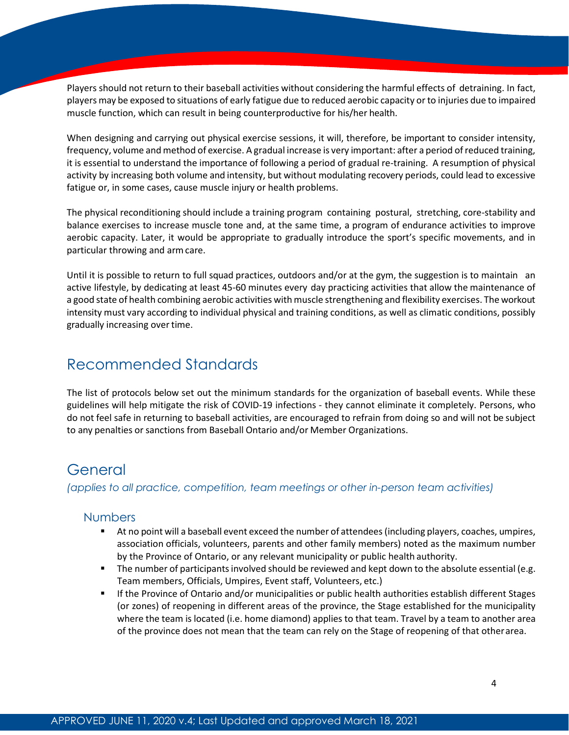Players should not return to their baseball activities without considering the harmful effects of detraining. In fact, players may be exposed to situations of early fatigue due to reduced aerobic capacity or to injuries due to impaired muscle function, which can result in being counterproductive for his/her health.

When designing and carrying out physical exercise sessions, it will, therefore, be important to consider intensity, frequency, volume and method of exercise. A gradual increase is very important: after a period of reduced training, it is essential to understand the importance of following a period of gradual re-training. A resumption of physical activity by increasing both volume and intensity, but without modulating recovery periods, could lead to excessive fatigue or, in some cases, cause muscle injury or health problems.

The physical reconditioning should include a training program containing postural, stretching, core-stability and balance exercises to increase muscle tone and, at the same time, a program of endurance activities to improve aerobic capacity. Later, it would be appropriate to gradually introduce the sport's specific movements, and in particular throwing and armcare.

Until it is possible to return to full squad practices, outdoors and/or at the gym, the suggestion is to maintain an active lifestyle, by dedicating at least 45-60 minutes every day practicing activities that allow the maintenance of a good state of health combining aerobic activities with muscle strengthening and flexibility exercises. The workout intensity must vary according to individual physical and training conditions, as well as climatic conditions, possibly gradually increasing over time.

# <span id="page-4-0"></span>Recommended Standards

The list of protocols below set out the minimum standards for the organization of baseball events. While these guidelines will help mitigate the risk of COVID-19 infections - they cannot eliminate it completely. Persons, who do not feel safe in returning to baseball activities, are encouraged to refrain from doing so and will not be subject to any penalties or sanctions from Baseball Ontario and/or Member Organizations.

# <span id="page-4-1"></span>General

<span id="page-4-2"></span>*(applies to all practice, competition, team meetings or other in-person team activities)*

## **Numbers**

- At no point will a baseball event exceed the number of attendees(including players, coaches, umpires, association officials, volunteers, parents and other family members) noted as the maximum number by the Province of Ontario, or any relevant municipality or public health authority.
- The number of participants involved should be reviewed and kept down to the absolute essential (e.g. Team members, Officials, Umpires, Event staff, Volunteers, etc.)
- **If the Province of Ontario and/or municipalities or public health authorities establish different Stages** (or zones) of reopening in different areas of the province, the Stage established for the municipality where the team is located (i.e. home diamond) applies to that team. Travel by a team to another area of the province does not mean that the team can rely on the Stage of reopening of that otherarea.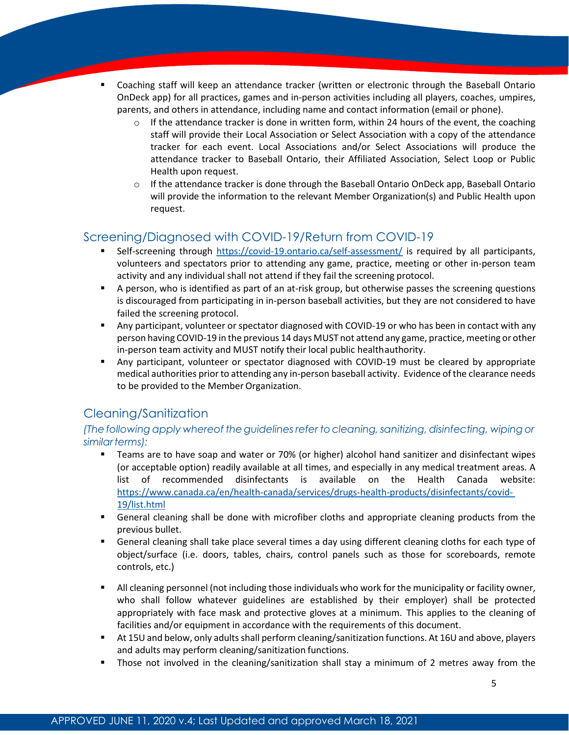- Coaching staff will keep an attendance tracker (written or electronic through the Baseball Ontario OnDeck app) for all practices, games and in-person activities including all players, coaches, umpires, parents, and others in attendance, including name and contact information (email or phone).
	- $\circ$  If the attendance tracker is done in written form, within 24 hours of the event, the coaching staff will provide their Local Association or Select Association with a copy of the attendance tracker for each event. Local Associations and/or Select Associations will produce the attendance tracker to Baseball Ontario, their Affiliated Association, Select Loop or Public Health upon request.
	- $\circ$  If the attendance tracker is done through the Baseball Ontario OnDeck app, Baseball Ontario will provide the information to the relevant Member Organization(s) and Public Health upon request.

# <span id="page-5-0"></span>Screening/Diagnosed with COVID-19/Return from COVID-19

- Self-screening through <https://covid-19.ontario.ca/self-assessment/> is required by all participants, volunteers and spectators prior to attending any game, practice, meeting or other in-person team activity and any individual shall not attend if they fail the screening protocol.
- A person, who is identified as part of an at-risk group, but otherwise passes the screening questions is discouraged from participating in in-person baseball activities, but they are not considered to have failed the screening protocol.
- Any participant, volunteer or spectator diagnosed with COVID-19 or who has been in contact with any person having COVID-19 in the previous 14 days MUST not attend any game, practice,meeting or other in-person team activity and MUST notify their local public healthauthority.
- Any participant, volunteer or spectator diagnosed with COVID-19 must be cleared by appropriate medical authorities prior to attending any in-person baseball activity. Evidence of the clearance needs to be provided to the Member Organization.

# <span id="page-5-1"></span>Cleaning/Sanitization

*(The following apply whereof theguidelinesrefer tocleaning,sanitizing, disinfecting, wipingor similarterms):*

- Teams are to have soap and water or 70% (or higher) alcohol hand sanitizer and disinfectant wipes (or acceptable option) readily available at all times, and especially in any medical treatment areas. A list of recommended disinfectants is available on the Health Canada website[:](https://www.canada.ca/en/health-canada/services/drugs-health-products/disinfectants/covid-19/list.html) [https://www.canada.ca/en/health-canada/services/drugs-health-products/disinfectants/covid-](https://www.canada.ca/en/health-canada/services/drugs-health-products/disinfectants/covid-19/list.html)[19/list.html](https://www.canada.ca/en/health-canada/services/drugs-health-products/disinfectants/covid-19/list.html)
- General cleaning shall be done with microfiber cloths and appropriate cleaning products from the previous bullet.
- General cleaning shall take place several times a day using different cleaning cloths for each type of object/surface (i.e. doors, tables, chairs, control panels such as those for scoreboards, remote controls, etc.)
- All cleaning personnel (not including those individuals who work for the municipality or facility owner, who shall follow whatever guidelines are established by their employer) shall be protected appropriately with face mask and protective gloves at a minimum. This applies to the cleaning of facilities and/or equipment in accordance with the requirements of this document.
- At 15U and below, only adults shall perform cleaning/sanitization functions. At 16U and above, players and adults may perform cleaning/sanitization functions.
- Those not involved in the cleaning/sanitization shall stay a minimum of 2 metres away from the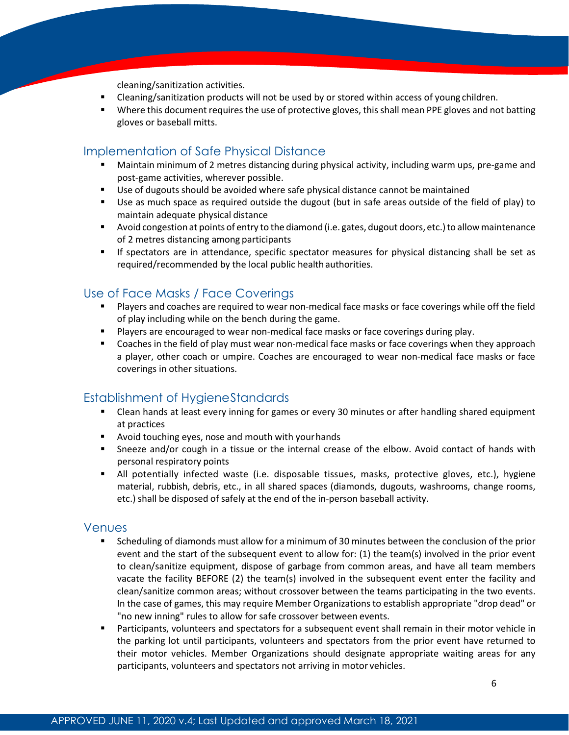cleaning/sanitization activities.

- Cleaning/sanitization products will not be used by or stored within access of young children.
- Where this document requires the use of protective gloves, this shall mean PPE gloves and not batting gloves or baseball mitts.

## <span id="page-6-0"></span>Implementation of Safe Physical Distance

- Maintain minimum of 2 metres distancing during physical activity, including warm ups, pre-game and post-game activities, wherever possible.
- **Use of dugouts should be avoided where safe physical distance cannot be maintained**
- Use as much space as required outside the dugout (but in safe areas outside of the field of play) to maintain adequate physical distance
- Avoid congestion at points of entry to the diamond (i.e. gates, dugout doors, etc.)to allowmaintenance of 2 metres distancing among participants
- If spectators are in attendance, specific spectator measures for physical distancing shall be set as required/recommended by the local public healthauthorities.

## <span id="page-6-1"></span>Use of Face Masks / Face Coverings

- Players and coaches are required to wear non-medical face masks or face coverings while off the field of play including while on the bench during the game.
- **Players are encouraged to wear non-medical face masks or face coverings during play.**
- Coaches in the field of play must wear non-medical face masks or face coverings when they approach a player, other coach or umpire. Coaches are encouraged to wear non-medical face masks or face coverings in other situations.

#### <span id="page-6-2"></span>Establishment of HygieneStandards

- Clean hands at least every inning for games or every 30 minutes or after handling shared equipment at practices
- **•** Avoid touching eyes, nose and mouth with your hands
- **F** Sneeze and/or cough in a tissue or the internal crease of the elbow. Avoid contact of hands with personal respiratory points
- All potentially infected waste (i.e. disposable tissues, masks, protective gloves, etc.), hygiene material, rubbish, debris, etc., in all shared spaces (diamonds, dugouts, washrooms, change rooms, etc.) shall be disposed of safely at the end of the in-person baseball activity.

#### <span id="page-6-3"></span>Venues

- Scheduling of diamonds must allow for a minimum of 30 minutes between the conclusion of the prior event and the start of the subsequent event to allow for: (1) the team(s) involved in the prior event to clean/sanitize equipment, dispose of garbage from common areas, and have all team members vacate the facility BEFORE (2) the team(s) involved in the subsequent event enter the facility and clean/sanitize common areas; without crossover between the teams participating in the two events. In the case of games, this may require Member Organizations to establish appropriate "drop dead" or "no new inning" rules to allow for safe crossover between events.
- Participants, volunteers and spectators for a subsequent event shall remain in their motor vehicle in the parking lot until participants, volunteers and spectators from the prior event have returned to their motor vehicles. Member Organizations should designate appropriate waiting areas for any participants, volunteers and spectators not arriving in motor vehicles.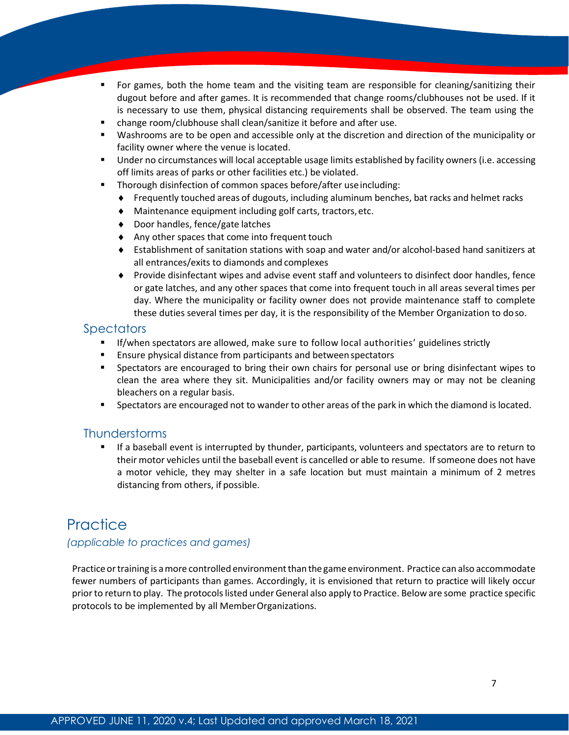- For games, both the home team and the visiting team are responsible for cleaning/sanitizing their dugout before and after games. It is recommended that change rooms/clubhouses not be used. If it is necessary to use them, physical distancing requirements shall be observed. The team using the
- change room/clubhouse shall clean/sanitize it before and after use.
- Washrooms are to be open and accessible only at the discretion and direction of the municipality or facility owner where the venue is located.
- **Under no circumstances will local acceptable usage limits established by facility owners (i.e. accessing** off limits areas of parks or other facilities etc.) be violated.
- **Thorough disinfection of common spaces before/after use including:** 
	- ♦ Frequently touched areas of dugouts, including aluminum benches, bat racks and helmet racks
	- ♦ Maintenance equipment including golf carts, tractors,etc.
	- ♦ Door handles, fence/gate latches
	- ♦ Any other spaces that come into frequent touch
	- ♦ Establishment of sanitation stations with soap and water and/or alcohol-based hand sanitizers at all entrances/exits to diamonds and complexes
	- ♦ Provide disinfectant wipes and advise event staff and volunteers to disinfect door handles, fence or gate latches, and any other spaces that come into frequent touch in all areas several times per day. Where the municipality or facility owner does not provide maintenance staff to complete these duties several times per day, it is the responsibility of the Member Organization to doso.

# <span id="page-7-0"></span>**Spectators**

- If/when spectators are allowed, make sure to follow local authorities' guidelines strictly
- **Ensure physical distance from participants and between spectators**
- **Spectators are encouraged to bring their own chairs for personal use or bring disinfectant wipes to** clean the area where they sit. Municipalities and/or facility owners may or may not be cleaning bleachers on a regular basis.
- **Spectators are encouraged not to wander to other areas of the park in which the diamond is located.**

## <span id="page-7-1"></span>**Thunderstorms**

 If a baseball event is interrupted by thunder, participants, volunteers and spectators are to return to their motor vehicles until the baseball event is cancelled or able to resume. If someone does not have a motor vehicle, they may shelter in a safe location but must maintain a minimum of 2 metres distancing from others, if possible.

# <span id="page-7-2"></span>**Practice**

## *(applicable to practices and games)*

Practice or training is a more controlled environment than the game environment. Practice can also accommodate fewer numbers of participants than games. Accordingly, it is envisioned that return to practice will likely occur priorto return to play. The protocolslisted under General also apply to Practice. Below are some practice specific protocols to be implemented by all MemberOrganizations.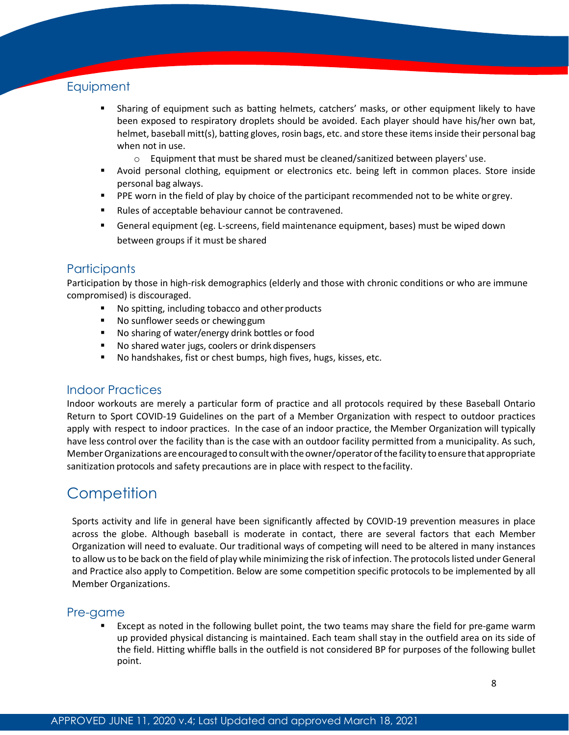# <span id="page-8-0"></span>**Equipment**

- Sharing of equipment such as batting helmets, catchers' masks, or other equipment likely to have been exposed to respiratory droplets should be avoided. Each player should have his/her own bat, helmet, baseball mitt(s), batting gloves, rosin bags, etc. and store these items inside their personal bag when not in use.
	- $\circ$  Equipment that must be shared must be cleaned/sanitized between players' use.
- Avoid personal clothing, equipment or electronics etc. being left in common places. Store inside personal bag always.
- **PPE worn in the field of play by choice of the participant recommended not to be white or grey.**
- **Rules of acceptable behaviour cannot be contravened.**
- General equipment (eg. L-screens, field maintenance equipment, bases) must be wiped down between groups if it must be shared

## <span id="page-8-1"></span>**Participants**

Participation by those in high-risk demographics (elderly and those with chronic conditions or who are immune compromised) is discouraged.

- No spitting, including tobacco and other products
- No sunflower seeds or chewing gum
- No sharing of water/energy drink bottles or food
- No shared water jugs, coolers or drink dispensers
- No handshakes, fist or chest bumps, high fives, hugs, kisses, etc.

#### <span id="page-8-2"></span>Indoor Practices

Indoor workouts are merely a particular form of practice and all protocols required by these Baseball Ontario Return to Sport COVID-19 Guidelines on the part of a Member Organization with respect to outdoor practices apply with respect to indoor practices. In the case of an indoor practice, the Member Organization will typically have less control over the facility than is the case with an outdoor facility permitted from a municipality. As such, Member Organizations are encouraged to consult with the owner/operator of the facility to ensure that appropriate sanitization protocols and safety precautions are in place with respect to thefacility.

# <span id="page-8-3"></span>**Competition**

Sports activity and life in general have been significantly affected by COVID-19 prevention measures in place across the globe. Although baseball is moderate in contact, there are several factors that each Member Organization will need to evaluate. Our traditional ways of competing will need to be altered in many instances to allow us to be back on the field of play while minimizing the risk of infection. The protocols listed under General and Practice also apply to Competition. Below are some competition specific protocols to be implemented by all Member Organizations.

#### <span id="page-8-4"></span>Pre-game

 Except as noted in the following bullet point, the two teams may share the field for pre-game warm up provided physical distancing is maintained. Each team shall stay in the outfield area on its side of the field. Hitting whiffle balls in the outfield is not considered BP for purposes of the following bullet point.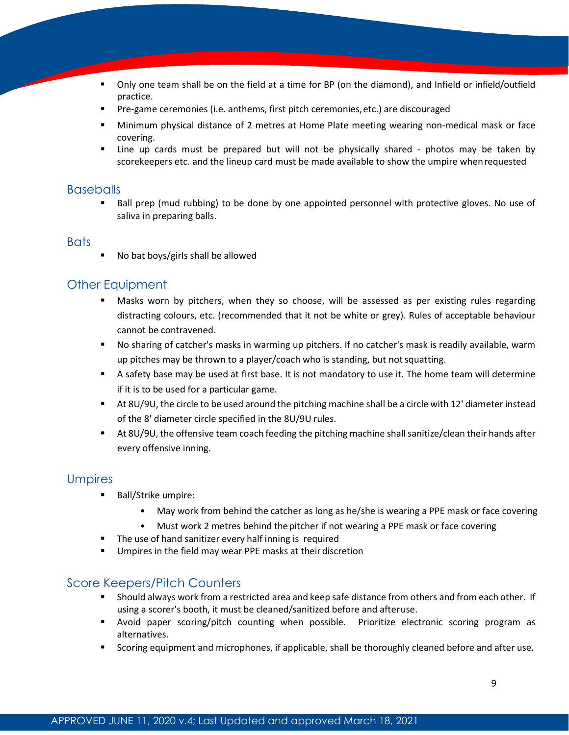- Only one team shall be on the field at a time for BP (on the diamond), and Infield or infield/outfield practice.
- Pre-game ceremonies (i.e. anthems, first pitch ceremonies,etc.) are discouraged
- Minimum physical distance of 2 metres at Home Plate meeting wearing non-medical mask or face covering.
- Line up cards must be prepared but will not be physically shared photos may be taken by scorekeepers etc. and the lineup card must be made available to show the umpire whenrequested

#### <span id="page-9-0"></span>**Baseballs**

 Ball prep (mud rubbing) to be done by one appointed personnel with protective gloves. No use of saliva in preparing balls.

#### <span id="page-9-1"></span>**Bats**

No bat boys/girls shall be allowed

# <span id="page-9-2"></span>Other Equipment

- Masks worn by pitchers, when they so choose, will be assessed as per existing rules regarding distracting colours, etc. (recommended that it not be white or grey). Rules of acceptable behaviour cannot be contravened.
- No sharing of catcher's masks in warming up pitchers. If no catcher's mask is readily available, warm up pitches may be thrown to a player/coach who is standing, but notsquatting.
- A safety base may be used at first base. It is not mandatory to use it. The home team will determine if it is to be used for a particular game.
- At 8U/9U, the circle to be used around the pitching machine shall be a circle with 12' diameter instead of the 8' diameter circle specified in the 8U/9U rules.
- At 8U/9U, the offensive team coach feeding the pitching machine shallsanitize/clean their hands after every offensive inning.

## <span id="page-9-3"></span>Umpires

- Ball/Strike umpire:
	- May work from behind the catcher as long as he/she is wearing a PPE mask or face covering
	- Must work 2 metres behind the pitcher if not wearing a PPE mask or face covering
- The use of hand sanitizer every half inning is required
- **Umpires in the field may wear PPE masks at their discretion**

## <span id="page-9-4"></span>Score Keepers/Pitch Counters

- **Should always work from a restricted area and keep safe distance from others and from each other. If** using a scorer's booth, it must be cleaned/sanitized before and afteruse.
- Avoid paper scoring/pitch counting when possible. Prioritize electronic scoring program as alternatives.
- Scoring equipment and microphones, if applicable, shall be thoroughly cleaned before and after use.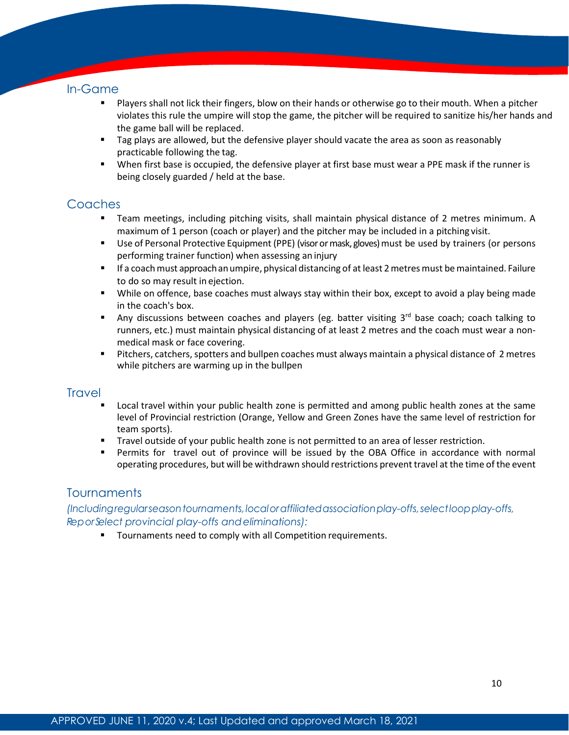## <span id="page-10-0"></span>In-Game

- Players shall not lick their fingers, blow on their hands or otherwise go to their mouth. When a pitcher violates this rule the umpire will stop the game, the pitcher will be required to sanitize his/her hands and the game ball will be replaced.
- Tag plays are allowed, but the defensive player should vacate the area as soon as reasonably practicable following the tag.
- When first base is occupied, the defensive player at first base must wear a PPE mask if the runner is being closely guarded / held at the base.

# <span id="page-10-1"></span>**Coaches**

- Team meetings, including pitching visits, shall maintain physical distance of 2 metres minimum. A maximum of 1 person (coach or player) and the pitcher may be included in a pitching visit.
- Use of Personal Protective Equipment (PPE) (visor or mask, gloves) must be used by trainers (or persons performing trainer function) when assessing an injury
- If a coachmust approachanumpire, physical distancing of at least 2metresmust bemaintained. Failure to do so may result in ejection.
- While on offence, base coaches must always stay within their box, except to avoid a play being made in the coach's box.
- Any discussions between coaches and players (eg. batter visiting  $3<sup>rd</sup>$  base coach; coach talking to runners, etc.) must maintain physical distancing of at least 2 metres and the coach must wear a nonmedical mask or face covering.
- **Pitchers, catchers, spotters and bullpen coaches must always maintain a physical distance of 2 metres** while pitchers are warming up in the bullpen

# <span id="page-10-2"></span>**Travel**

- Local travel within your public health zone is permitted and among public health zones at the same level of Provincial restriction (Orange, Yellow and Green Zones have the same level of restriction for team sports).
- **Travel outside of your public health zone is not permitted to an area of lesser restriction.**
- Permits for travel out of province will be issued by the OBA Office in accordance with normal operating procedures, but will be withdrawn should restrictions prevent travel at the time of the event

# <span id="page-10-3"></span>**Tournaments**

<span id="page-10-4"></span>*(Includingregularseasontournaments,localoraffiliatedassociationplay-offs,selectloopplay-offs, ReporSelect provincial play-offs andeliminations):*

**Tournaments need to comply with all Competition requirements.**